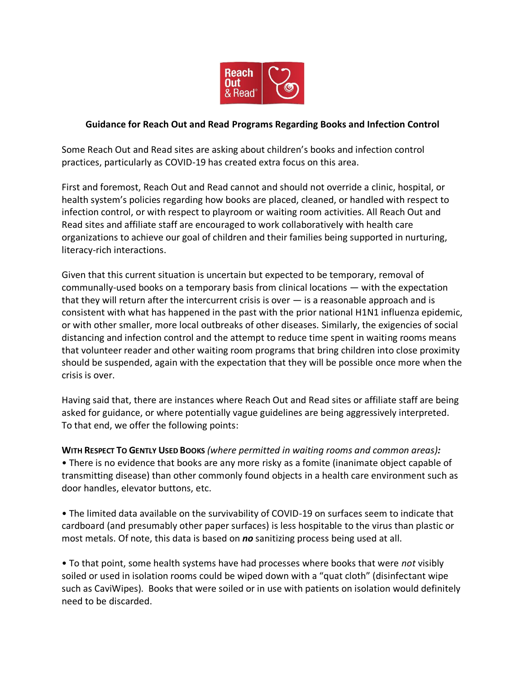

## **Guidance for Reach Out and Read Programs Regarding Books and Infection Control**

Some Reach Out and Read sites are asking about children's books and infection control practices, particularly as COVID-19 has created extra focus on this area.

First and foremost, Reach Out and Read cannot and should not override a clinic, hospital, or health system's policies regarding how books are placed, cleaned, or handled with respect to infection control, or with respect to playroom or waiting room activities. All Reach Out and Read sites and affiliate staff are encouraged to work collaboratively with health care organizations to achieve our goal of children and their families being supported in nurturing, literacy-rich interactions.

Given that this current situation is uncertain but expected to be temporary, removal of communally-used books on a temporary basis from clinical locations — with the expectation that they will return after the intercurrent crisis is over  $-$  is a reasonable approach and is consistent with what has happened in the past with the prior national H1N1 influenza epidemic, or with other smaller, more local outbreaks of other diseases. Similarly, the exigencies of social distancing and infection control and the attempt to reduce time spent in waiting rooms means that volunteer reader and other waiting room programs that bring children into close proximity should be suspended, again with the expectation that they will be possible once more when the crisis is over.

Having said that, there are instances where Reach Out and Read sites or affiliate staff are being asked for guidance, or where potentially vague guidelines are being aggressively interpreted. To that end, we offer the following points:

**WITH RESPECT TO GENTLY USED BOOKS** *(where permitted in waiting rooms and common areas):* • There is no evidence that books are any more risky as a fomite (inanimate object capable of transmitting disease) than other commonly found objects in a health care environment such as door handles, elevator buttons, etc.

• The limited data available on the survivability of COVID-19 on surfaces seem to indicate that cardboard (and presumably other paper surfaces) is less hospitable to the virus than plastic or most metals. Of note, this data is based on *no* sanitizing process being used at all.

• To that point, some health systems have had processes where books that were *not* visibly soiled or used in isolation rooms could be wiped down with a "quat cloth" (disinfectant wipe such as CaviWipes). Books that were soiled or in use with patients on isolation would definitely need to be discarded.